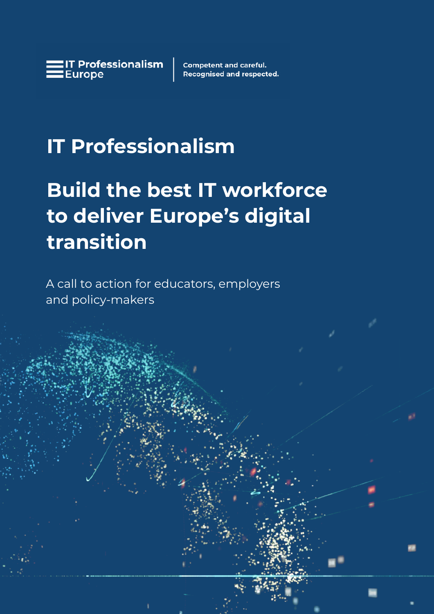**Competent and careful. Recognised and respected.** 

# **IT Professionalism**

# **Build the best IT workforce to deliver Europe's digital transition**

1 www.itprofessionalism.com in the control of the control of the control of the control of the control of the c

A call to action for educators, employers and policy-makers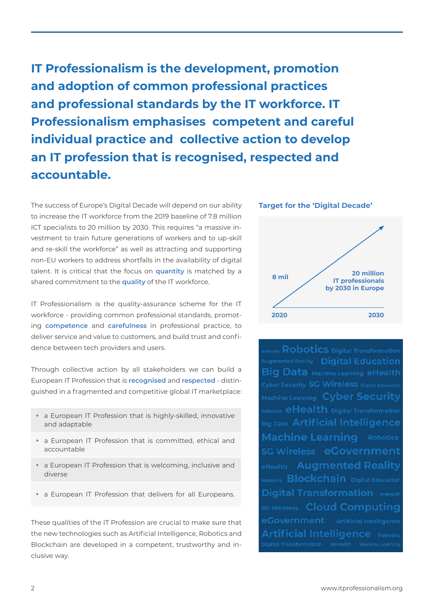**IT Professionalism is the development, promotion and adoption of common professional practices and professional standards by the IT workforce. IT Professionalism emphasises competent and careful individual practice and collective action to develop an IT profession that is recognised, respected and accountable.**

The success of Europe's Digital Decade will depend on our ability to increase the IT workforce from the 2019 baseline of 7.8 million ICT specialists to 20 million by 2030. This requires "a massive investment to train future generations of workers and to up-skill and re-skill the workforce" as well as attracting and supporting non-EU workers to address shortfalls in the availability of digital talent. It is critical that the focus on **quantity** is matched by a shared commitment to the **quality** of the IT workforce.

IT Professionalism is the quality-assurance scheme for the IT workforce - providing common professional standards, promoting **competence** and **carefulness** in professional practice, to deliver service and value to customers, and build trust and confidence between tech providers and users.

Through collective action by all stakeholders we can build a European IT Profession that is **recognised** and **respected** - distinguished in a fragmented and competitive global IT marketplace:

- a European IT Profession that is highly-skilled, innovative and adaptable
- a European IT Profession that is committed, ethical and accountable
- a European IT Profession that is welcoming, inclusive and diverse
- a European IT Profession that delivers for all Europeans.

These qualities of the IT Profession are crucial to make sure that the new technologies such as Artificial Intelligence, Robotics and Blockchain are developed in a competent, trustworthy and inclusive way.



eHealth **Robotics** Digital Transformation Augmented Reality Digital Education **Big Data Machine Learning eHealth** Machine Learning Cyber Security Robotics **eHealth** Digital Transformation Big Data Artificial Intelligence **Machine Learning Robotics** 5G Wireless eGovernment **eHealth** Augmented Reality Robotics **Blockchain** Digital Education Digital Transformation eHealth **5G Wireless Cloud Computing** Artificial Intelligence Robotics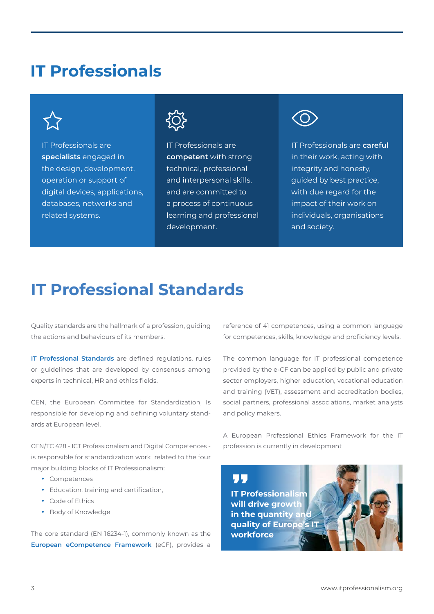### **IT Professionals**

IT Professionals are **specialists** engaged in the design, development, operation or support of digital devices, applications, databases, networks and related systems.



IT Professionals are **competent** with strong technical, professional and interpersonal skills, and are committed to a process of continuous learning and professional development.



IT Professionals are **careful** in their work, acting with integrity and honesty, guided by best practice, with due regard for the impact of their work on individuals, organisations and society.

## **IT Professional Standards**

Quality standards are the hallmark of a profession, guiding the actions and behaviours of its members.

**IT Professional Standards** are defined regulations, rules or guidelines that are developed by consensus among experts in technical, HR and ethics fields.

CEN, the European Committee for Standardization, Is responsible for developing and defining voluntary standards at European level.

CEN/TC 428 - ICT Professionalism and Digital Competences is responsible for standardization work related to the four major building blocks of IT Professionalism:

- Competences
- Education, training and certification,
- Code of Ethics
- Body of Knowledge

The core standard (EN 16234-1), commonly known as the **European eCompetence Framework** (eCF), provides a reference of 41 competences, using a common language for competences, skills, knowledge and proficiency levels.

The common language for IT professional competence provided by the e-CF can be applied by public and private sector employers, higher education, vocational education and training (VET), assessment and accreditation bodies, social partners, professional associations, market analysts and policy makers.

A European Professional Ethics Framework for the IT profession is currently in development

**IT Professionalism will drive growth in the quantity and quality of Europe's IT workforce**

Г.Г.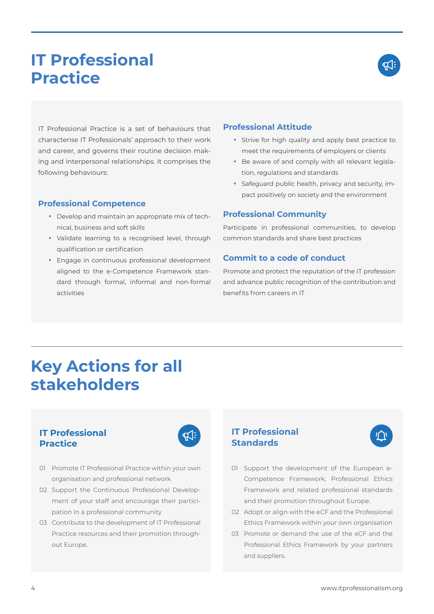### **IT Professional Practice**



IT Professional Practice is a set of behaviours that characterise IT Professionals' approach to their work and career, and governs their routine decision making and interpersonal relationships. It comprises the following behaviours:

#### **Professional Competence**

- Develop and maintain an appropriate mix of technical, business and soft skills
- Validate learning to a recognised level, through qualification or certification
- Engage in continuous professional development aligned to the e-Competence Framework standard through formal, informal and non-formal activities

#### **Professional Attitude**

- Strive for high quality and apply best practice to meet the requirements of employers or clients
- Be aware of and comply with all relevant legislation, regulations and standards
- Safeguard public health, privacy and security, impact positively on society and the environment

#### **Professional Community**

Participate in professional communities, to develop common standards and share best practices

#### **Commit to a code of conduct**

Promote and protect the reputation of the IT profession and advance public recognition of the contribution and benefits from careers in IT

### **Key Actions for all stakeholders**

### **IT Professional Practice**



- 01 Promote IT Professional Practice within your own organisation and professional network
- 02 Support the Continuous Professional Development of your staff and encourage their participation in a professional community
- 03 Contribute to the development of IT Professional Practice resources and their promotion throughout Europe.

### **IT Professional Standards**



- 01 Support the development of the European e-Competence Framework, Professional Ethics Framework and related professional standards and their promotion throughout Europe.
- 02 Adopt or align with the eCF and the Professional Ethics Framework within your own organisation
- 03 Promote or demand the use of the eCF and the Professional Ethics Framework by your partners and suppliers.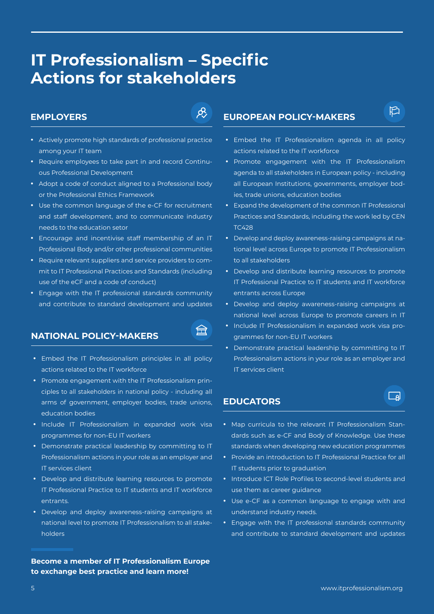### **IT Professionalism – Specific Actions for stakeholders**

#### **EMPLOYERS**



- Actively promote high standards of professional practice among your IT team
- Require employees to take part in and record Continuous Professional Development
- y Adopt a code of conduct aligned to a Professional body or the Professional Ethics Framework
- Use the common language of the e-CF for recruitment and staff development, and to communicate industry needs to the education setor
- Encourage and incentivise staff membership of an IT Professional Body and/or other professional communities
- Require relevant suppliers and service providers to commit to IT Professional Practices and Standards (including use of the eCF and a code of conduct)
- Engage with the IT professional standards community and contribute to standard development and updates

#### **NATIONAL POLICY-MAKERS**



- Embed the IT Professionalism principles in all policy actions related to the IT workforce
- Promote engagement with the IT Professionalism principles to all stakeholders in national policy - including all arms of government, employer bodies, trade unions, education bodies
- Include IT Professionalism in expanded work visa programmes for non-EU IT workers
- Demonstrate practical leadership by committing to IT Professionalism actions in your role as an employer and IT services client
- Develop and distribute learning resources to promote IT Professional Practice to IT students and IT workforce entrants.
- Develop and deploy awareness-raising campaigns at national level to promote IT Professionalism to all stakeholders

#### **Become a member of IT Professionalism Europe to exchange best practice and learn more!**

### **EUROPEAN POLICY-MAKERS**

• Embed the IT Professionalism agenda in all policy actions related to the IT workforce

**わ** 

- Promote engagement with the IT Professionalism agenda to all stakeholders in European policy - including all European Institutions, governments, employer bodies, trade unions, education bodies
- Expand the development of the common IT Professional Practices and Standards, including the work led by CEN TC428
- Develop and deploy awareness-raising campaigns at national level across Europe to promote IT Professionalism to all stakeholders
- Develop and distribute learning resources to promote IT Professional Practice to IT students and IT workforce entrants across Europe
- Develop and deploy awareness-raising campaigns at national level across Europe to promote careers in IT
- Include IT Professionalism in expanded work visa programmes for non-EU IT workers
- Demonstrate practical leadership by committing to IT Professionalism actions in your role as an employer and IT services client

#### **EDUCATORS**

• Map curricula to the relevant IT Professionalism Stan-

 $\Box$ a

- dards such as e-CF and Body of Knowledge. Use these standards when developing new education programmes
- Provide an introduction to IT Professional Practice for all IT students prior to graduation
- Introduce ICT Role Profiles to second-level students and use them as career guidance
- Use e-CF as a common language to engage with and understand industry needs.
- Engage with the IT professional standards community and contribute to standard development and updates